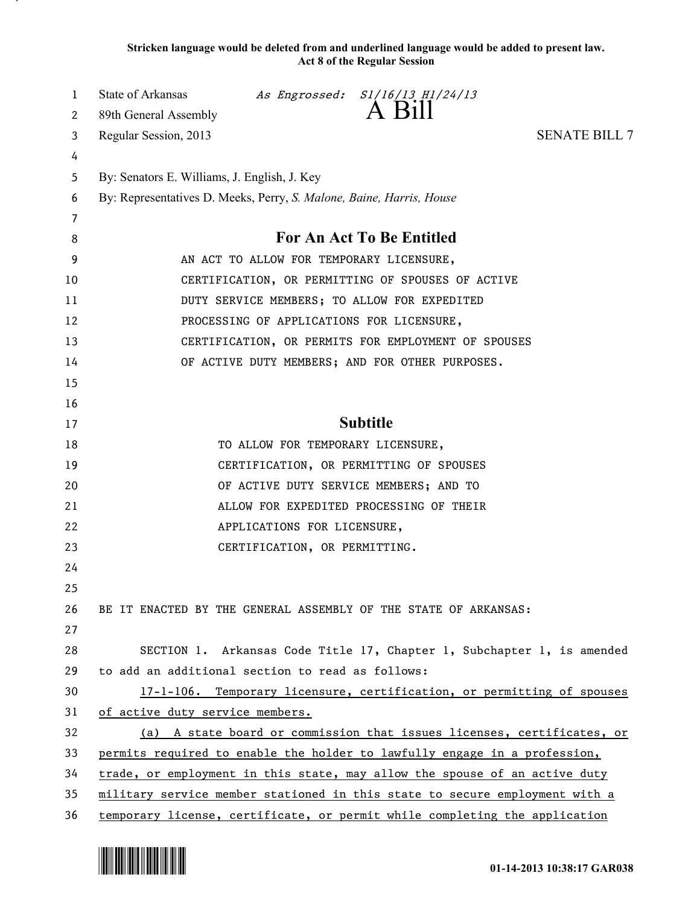**Stricken language would be deleted from and underlined language would be added to present law. Act 8 of the Regular Session**

| 1  | State of Arkansas                                                          |                                   | As Engrossed: S1/16/13 H1/24/13                                             |                      |  |
|----|----------------------------------------------------------------------------|-----------------------------------|-----------------------------------------------------------------------------|----------------------|--|
| 2  | 89th General Assembly                                                      |                                   | A Bill                                                                      |                      |  |
| 3  | Regular Session, 2013                                                      |                                   |                                                                             | <b>SENATE BILL 7</b> |  |
| 4  |                                                                            |                                   |                                                                             |                      |  |
| 5  | By: Senators E. Williams, J. English, J. Key                               |                                   |                                                                             |                      |  |
| 6  | By: Representatives D. Meeks, Perry, S. Malone, Baine, Harris, House       |                                   |                                                                             |                      |  |
| 7  |                                                                            |                                   |                                                                             |                      |  |
| 8  | <b>For An Act To Be Entitled</b>                                           |                                   |                                                                             |                      |  |
| 9  | AN ACT TO ALLOW FOR TEMPORARY LICENSURE,                                   |                                   |                                                                             |                      |  |
| 10 | CERTIFICATION, OR PERMITTING OF SPOUSES OF ACTIVE                          |                                   |                                                                             |                      |  |
| 11 | DUTY SERVICE MEMBERS; TO ALLOW FOR EXPEDITED                               |                                   |                                                                             |                      |  |
| 12 |                                                                            |                                   | PROCESSING OF APPLICATIONS FOR LICENSURE,                                   |                      |  |
| 13 |                                                                            |                                   | CERTIFICATION, OR PERMITS FOR EMPLOYMENT OF SPOUSES                         |                      |  |
| 14 |                                                                            |                                   | OF ACTIVE DUTY MEMBERS; AND FOR OTHER PURPOSES.                             |                      |  |
| 15 |                                                                            |                                   |                                                                             |                      |  |
| 16 |                                                                            |                                   |                                                                             |                      |  |
| 17 |                                                                            |                                   | <b>Subtitle</b>                                                             |                      |  |
| 18 |                                                                            | TO ALLOW FOR TEMPORARY LICENSURE, |                                                                             |                      |  |
| 19 |                                                                            |                                   | CERTIFICATION, OR PERMITTING OF SPOUSES                                     |                      |  |
| 20 |                                                                            |                                   | OF ACTIVE DUTY SERVICE MEMBERS; AND TO                                      |                      |  |
| 21 |                                                                            |                                   | ALLOW FOR EXPEDITED PROCESSING OF THEIR                                     |                      |  |
| 22 |                                                                            | APPLICATIONS FOR LICENSURE,       |                                                                             |                      |  |
| 23 |                                                                            | CERTIFICATION, OR PERMITTING.     |                                                                             |                      |  |
| 24 |                                                                            |                                   |                                                                             |                      |  |
| 25 |                                                                            |                                   |                                                                             |                      |  |
| 26 |                                                                            |                                   | BE IT ENACTED BY THE GENERAL ASSEMBLY OF THE STATE OF ARKANSAS:             |                      |  |
| 27 |                                                                            |                                   |                                                                             |                      |  |
| 28 |                                                                            |                                   | SECTION 1. Arkansas Code Title 17, Chapter 1, Subchapter 1, is amended      |                      |  |
| 29 | to add an additional section to read as follows:                           |                                   |                                                                             |                      |  |
| 30 |                                                                            |                                   | 17-1-106. Temporary licensure, certification, or permitting of spouses      |                      |  |
| 31 | of active duty service members.                                            |                                   |                                                                             |                      |  |
| 32 | (a) A state board or commission that issues licenses, certificates, or     |                                   |                                                                             |                      |  |
| 33 | permits required to enable the holder to lawfully engage in a profession,  |                                   |                                                                             |                      |  |
| 34 |                                                                            |                                   | trade, or employment in this state, may allow the spouse of an active duty  |                      |  |
| 35 |                                                                            |                                   | military service member stationed in this state to secure employment with a |                      |  |
| 36 | temporary license, certificate, or permit while completing the application |                                   |                                                                             |                      |  |